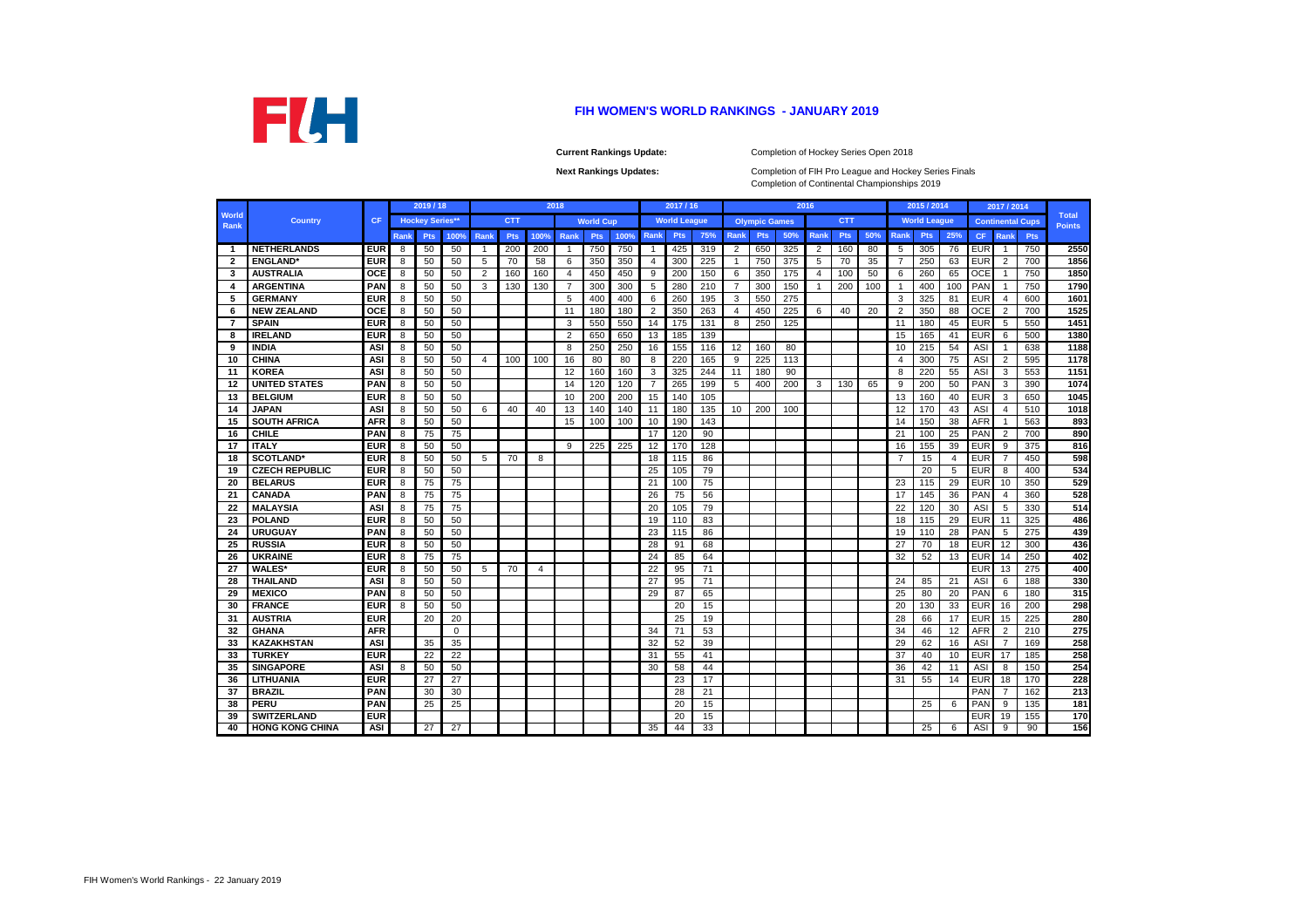|                      |                        |            |             | 2019 / 18              |                 |      |            |                | 2018           |                  |      |                | 2017/16             |                 |                |                      |     | 2016           |            |     |                | 2015 / 2014         |     |            | 2017 / 2014    |                         |                               |
|----------------------|------------------------|------------|-------------|------------------------|-----------------|------|------------|----------------|----------------|------------------|------|----------------|---------------------|-----------------|----------------|----------------------|-----|----------------|------------|-----|----------------|---------------------|-----|------------|----------------|-------------------------|-------------------------------|
| <b>World</b><br>Rank | <b>Country</b>         | <b>CF</b>  |             | <b>Hockey Series**</b> |                 |      | <b>CTT</b> |                |                | <b>World Cup</b> |      |                | <b>World League</b> |                 |                | <b>Olympic Games</b> |     |                | <b>CTT</b> |     |                | <b>World League</b> |     |            |                | <b>Continental Cups</b> | <b>Total</b><br><b>Points</b> |
|                      |                        |            | <b>Rank</b> | <b>Pts</b>             | 100%            | Rank | <b>Pts</b> | 100%           | Rank           | <b>Pts</b>       | 100% | Rank           | <b>Pts</b>          | 75%             | Rank           | <b>Pts</b>           | 50% | Rank           | <b>Pts</b> | 50% | <b>Rank</b>    | <b>Pts</b>          | 25% | <b>CF</b>  | Rank           | <b>Pts</b>              |                               |
| -1                   | <b>NETHERLANDS</b>     | <b>EUR</b> | 8           | 50                     | 50              | -1   | 200        | 200            | -1             | 750              | 750  | $\mathbf{1}$   | 425                 | 319             | $\overline{2}$ | 650                  | 325 | 2              | 160        | 80  | 5              | 305                 | 76  | <b>EUR</b> | -1             | 750                     | 2550                          |
| $\overline{2}$       | <b>ENGLAND</b>         | <b>EUR</b> | 8           | 50                     | 50              | 5    | 70         | 58             | 6              | 350              | 350  | 4              | 300                 | 225             | $\mathbf{1}$   | 750                  | 375 | 5              | 70         | 35  | $\overline{7}$ | 250                 | 63  | <b>EUR</b> | $\overline{2}$ | 700                     | 1856                          |
| 3                    | <b>AUSTRALIA</b>       | <b>OCE</b> | 8           | 50                     | 50              | 2    | 160        | 160            | 4              | 450              | 450  | 9              | 200                 | 150             | 6              | 350                  | 175 | 4              | 100        | 50  | 6              | 260                 | 65  | OCE        | $\overline{1}$ | 750                     | 1850                          |
| 4                    | <b>ARGENTINA</b>       | <b>PAN</b> | 8           | 50                     | 50              | 3    | 130        | 130            | $\overline{7}$ | 300              | 300  | 5              | 280                 | 210             | $\overline{7}$ | 300                  | 150 | $\overline{1}$ | 200        | 100 | -1             | 400                 | 100 | <b>PAN</b> | -1             | 750                     | 1790                          |
| 5                    | <b>GERMANY</b>         | <b>EUR</b> | 8           | 50                     | 50              |      |            |                | 5              | 400              | 400  | 6              | 260                 | 195             | 3              | 550                  | 275 |                |            |     | 3              | 325                 | 81  | <b>EUR</b> | $\overline{4}$ | 600                     | 1601                          |
| 6                    | <b>NEW ZEALAND</b>     | OCE        | 8           | 50                     | 50              |      |            |                | 11             | 180              | 180  | $\overline{2}$ | 350                 | 263             | $\overline{4}$ | 450                  | 225 | 6              | 40         | 20  | $\overline{2}$ | 350                 | 88  | <b>OCE</b> | $\overline{2}$ | 700                     | 1525                          |
| 7                    | <b>SPAIN</b>           | <b>EUR</b> | 8           | 50                     | 50              |      |            |                | 3              | 550              | 550  | 14             | 175                 | 131             | 8              | 250                  | 125 |                |            |     | 11             | 180                 | 45  | <b>EUR</b> | 5              | 550                     | 1451                          |
| 8                    | <b>IRELAND</b>         | <b>EUR</b> | 8           | 50                     | 50              |      |            |                | 2              | 650              | 650  | 13             | 185                 | 139             |                |                      |     |                |            |     | 15             | 165                 | 41  | <b>EUR</b> | 6              | 500                     | 1380                          |
| 9                    | <b>INDIA</b>           | <b>ASI</b> | 8           | 50                     | 50              |      |            |                | 8              | 250              | 250  | 16             | 155                 | 116             | 12             | 160                  | 80  |                |            |     | 10             | 215                 | 54  | ASI        | $\overline{1}$ | 638                     | 1188                          |
| 10                   | <b>CHINA</b>           | <b>ASI</b> | 8           | 50                     | 50              | 4    | 100        | 100            | 16             | 80               | 80   | 8              | 220                 | 165             | 9              | 225                  | 113 |                |            |     | $\overline{4}$ | 300                 | 75  | ASI        | $\overline{2}$ | 595                     | 1178                          |
| -11                  | <b>KOREA</b>           | <b>ASI</b> | 8           | 50                     | 50              |      |            |                | 12             | 160              | 160  | 3              | 325                 | 244             | 11             | 180                  | 90  |                |            |     | 8              | 220                 | 55  | ASI        | 3              | 553                     | $\frac{1151}{2}$              |
| 12                   | <b>UNITED STATES</b>   | <b>PAN</b> | 8           | 50                     | 50              |      |            |                | 14             | 120              | 120  | $\overline{7}$ | 265                 | 199             | 5              | 400                  | 200 | 3              | 130        | 65  | 9              | 200                 | 50  | <b>PAN</b> | 3              | 390                     | 1074                          |
| 13                   | <b>BELGIUM</b>         | <b>EUR</b> | 8           | 50                     | 50              |      |            |                | 10             | 200              | 200  | 15             | 140                 | 105             |                |                      |     |                |            |     | 13             | 160                 | 40  | <b>EUR</b> | 3              | 650                     | 1045                          |
| 14                   | <b>JAPAN</b>           | <b>ASI</b> | 8           | 50                     | 50              | 6    | 40         | 40             | 13             | 140              | 140  | 11             | 180                 | 135             | 10             | 200                  | 100 |                |            |     | 12             | 170                 | 43  | ASI        | $\overline{4}$ | 510                     | 1018                          |
| 15                   | <b>SOUTH AFRICA</b>    | <b>AFR</b> | 8           | 50                     | 50              |      |            |                | 15             | 100              | 100  | 10             | 190                 | 143             |                |                      |     |                |            |     | 14             | 150                 | 38  | <b>AFR</b> | -1             | 563                     | 893                           |
| 16                   | <b>CHILE</b>           | <b>PAN</b> | 8           | 75                     | 75              |      |            |                |                |                  |      | 17             | 120                 | 90              |                |                      |     |                |            |     | 21             | 100                 | 25  | <b>PAN</b> | 2              | 700                     | 890                           |
| 17                   | <b>ITALY</b>           | <b>EUR</b> | 8           | 50                     | 50              |      |            |                | 9              | 225              | 225  | 12             | 170                 | 128             |                |                      |     |                |            |     | 16             | 155                 | 39  | <b>EUR</b> | 9              | 375                     | 816                           |
| 18                   | <b>SCOTLAND*</b>       | <b>EUR</b> | 8           | 50                     | 50              | 5    | 70         | 8              |                |                  |      | 18             | 115                 | 86              |                |                      |     |                |            |     | $\overline{7}$ | 15                  | 4   | <b>EUR</b> | 7              | 450                     | 598                           |
| 19                   | <b>CZECH REPUBLIC</b>  | <b>EUR</b> | 8           | 50                     | 50              |      |            |                |                |                  |      | 25             | 105                 | 79              |                |                      |     |                |            |     |                | 20                  | 5   | <b>EUR</b> | 8              | 400                     | 534                           |
| 20                   | <b>BELARUS</b>         | <b>EUR</b> | 8           | 75                     | 75              |      |            |                |                |                  |      | 21             | 100                 | 75              |                |                      |     |                |            |     | 23             | 115                 | 29  | <b>EUR</b> | 10             | 350                     | 529                           |
| 21                   | <b>CANADA</b>          | <b>PAN</b> | 8           | 75                     | 75              |      |            |                |                |                  |      | 26             | 75                  | 56              |                |                      |     |                |            |     | 17             | 145                 | 36  | <b>PAN</b> | $\overline{4}$ | 360                     | 528                           |
| 22                   | <b>MALAYSIA</b>        | <b>ASI</b> | 8           | 75                     | 75              |      |            |                |                |                  |      | 20             | 105                 | 79              |                |                      |     |                |            |     | 22             | 120                 | 30  | ASI        | -5             | 330                     | 514                           |
| 23                   | <b>POLAND</b>          | <b>EUR</b> | 8           | 50                     | 50              |      |            |                |                |                  |      | 19             | 110                 | 83              |                |                      |     |                |            |     | 18             | 115                 | 29  | <b>EUR</b> | 11             | 325                     | 486                           |
| 24                   | <b>URUGUAY</b>         | <b>PAN</b> | 8           | 50                     | 50              |      |            |                |                |                  |      | 23             | 115                 | 86              |                |                      |     |                |            |     | 19             | 110                 | 28  | <b>PAN</b> | 5              | 275                     | 439                           |
| 25                   | <b>RUSSIA</b>          | <b>EUR</b> | 8           | 50                     | 50              |      |            |                |                |                  |      | 28             | 91                  | 68              |                |                      |     |                |            |     | 27             | 70                  | 18  | <b>EUR</b> | 12             | 300                     | 436                           |
| 26                   | <b>UKRAINE</b>         | <b>EUR</b> | 8           | 75                     | 75              |      |            |                |                |                  |      | 24             | 85                  | 64              |                |                      |     |                |            |     | 32             | 52                  | 13  | <b>EUR</b> | 14             | 250                     | 402                           |
| 27                   | <b>WALES*</b>          | <b>EUR</b> | 8           | 50                     | 50              | 5    | 70         | $\overline{4}$ |                |                  |      | 22             | 95                  | 71              |                |                      |     |                |            |     |                |                     |     | <b>EUR</b> | 13             | 275                     | 400                           |
| 28                   | <b>THAILAND</b>        | <b>ASI</b> | 8           | 50                     | 50              |      |            |                |                |                  |      | 27             | 95                  | 71              |                |                      |     |                |            |     | 24             | 85                  | 21  | <b>ASI</b> | 6              | 188                     | 330                           |
| 29                   | <b>MEXICO</b>          | <b>PAN</b> | 8           | 50                     | 50              |      |            |                |                |                  |      | 29             | 87                  | 65              |                |                      |     |                |            |     | 25             | 80                  | 20  | PAN        | 6              | 180                     | 315                           |
| 30                   | <b>FRANCE</b>          | <b>EUR</b> | 8           | 50                     | 50              |      |            |                |                |                  |      |                | 20                  | 15              |                |                      |     |                |            |     | 20             | 130                 | 33  | <b>EUR</b> | 16             | 200                     | 298                           |
| -31                  | <b>AUSTRIA</b>         | <b>EUR</b> |             | 20                     | 20              |      |            |                |                |                  |      |                | 25                  | 19              |                |                      |     |                |            |     | 28             | 66                  | 17  | <b>EUR</b> | 15             | 225                     | 280                           |
| 32                   | <b>GHANA</b>           | <b>AFR</b> |             |                        | $\mathbf 0$     |      |            |                |                |                  |      | 34             | 71                  | 53              |                |                      |     |                |            |     | 34             | 46                  | 12  | <b>AFR</b> | $\overline{2}$ | 210                     | 275                           |
| 33                   | <b>KAZAKHSTAN</b>      | <b>ASI</b> |             | 35                     | 35              |      |            |                |                |                  |      | 32             | 52                  | 39              |                |                      |     |                |            |     | 29             | 62                  | 16  | ASI        | $\overline{7}$ | 169                     | 258                           |
| 33                   | <b>TURKEY</b>          | <b>EUR</b> |             | 22                     | 22              |      |            |                |                |                  |      | 31             | 55                  | 41              |                |                      |     |                |            |     | 37             | 40                  | 10  | EUR        | 17             | 185                     | 258                           |
| 35                   | <b>SINGAPORE</b>       | <b>ASI</b> | 8           | 50                     | 50              |      |            |                |                |                  |      | 30             | 58                  | 44              |                |                      |     |                |            |     | 36             | 42                  | 11  | <b>ASI</b> | 8              | 150                     | 254                           |
| 36                   | LITHUANIA              | <b>EUR</b> |             | 27                     | 27              |      |            |                |                |                  |      |                | 23                  | 17              |                |                      |     |                |            |     | 31             | 55                  | 14  | <b>EUR</b> | 18             | 170                     | 228                           |
| 37                   | <b>BRAZIL</b>          | <b>PAN</b> |             | 30                     | 30              |      |            |                |                |                  |      |                | 28                  | 21              |                |                      |     |                |            |     |                |                     |     | PAN        | 7              | 162                     | 213                           |
| 38                   | <b>PERU</b>            | <b>PAN</b> |             | 25                     | 25              |      |            |                |                |                  |      |                | 20                  | 15              |                |                      |     |                |            |     |                | 25                  | 6   | PAN        | 9              | 135                     | 181                           |
| 39                   | <b>SWITZERLAND</b>     | <b>EUR</b> |             |                        |                 |      |            |                |                |                  |      |                | 20                  | 15              |                |                      |     |                |            |     |                |                     |     | <b>EUR</b> | 19             | 155                     | 170                           |
| 40                   | <b>HONG KONG CHINA</b> | <b>ASI</b> |             | 27                     | $\overline{27}$ |      |            |                |                |                  |      | 35             | 44                  | $\overline{33}$ |                |                      |     |                |            |     |                | 25                  | 6   | <b>ASI</b> | 9              | 90                      | 156                           |



## **FIH WOMEN'S WORLD RANKINGS - JANUARY 2019**

**Current Rankings Update:**

Completion of Continental Championships 2019 Completion of FIH Pro League and Hockey Series Finals

**Next Rankings Updates:** 

Completion of Hockey Series Open 2018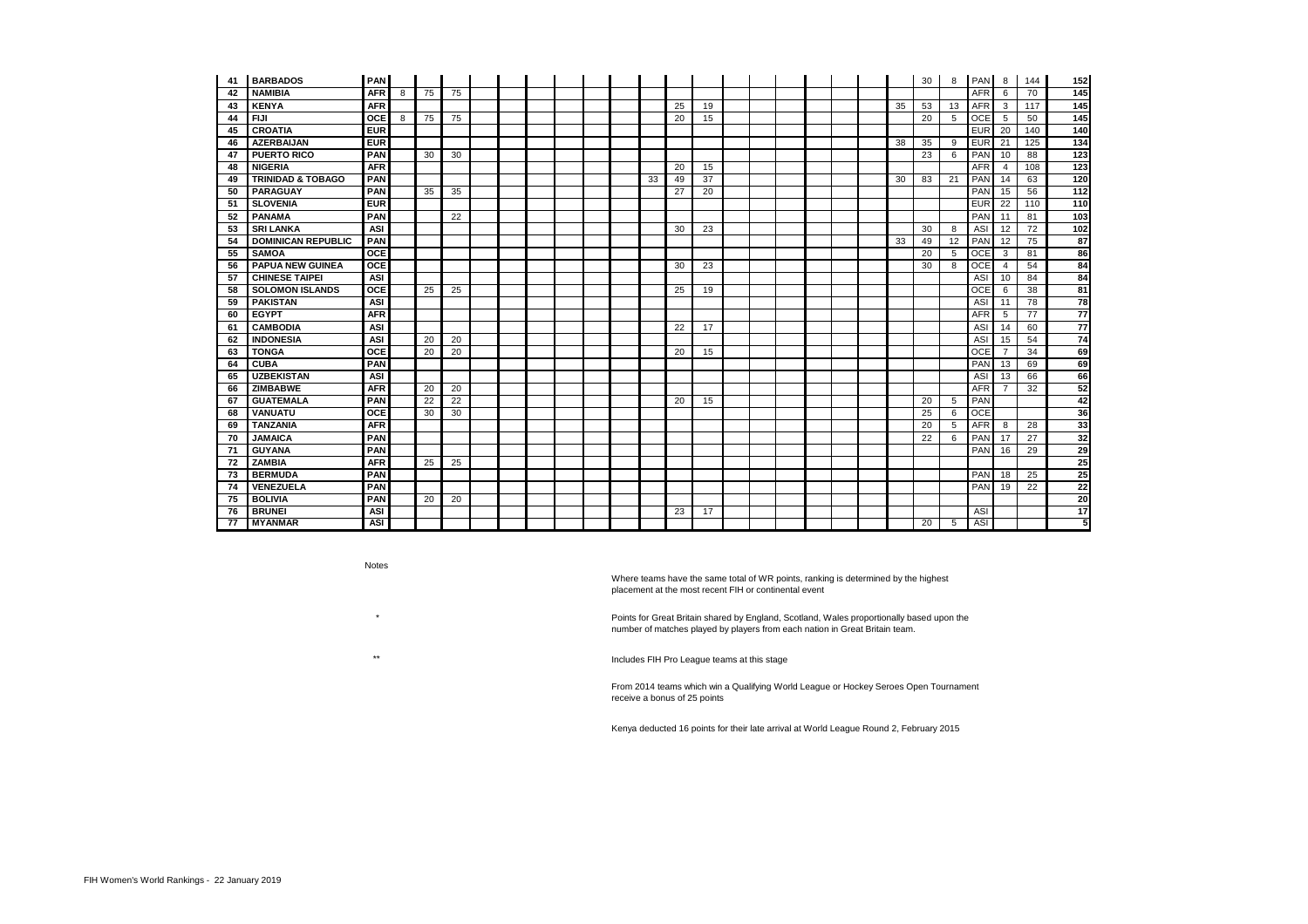| 41  | <b>BARBADOS</b>              | <b>PAN</b> |   |    |    |  |  |  |    |    |    |  |  |  |    | 30              | 8  | <b>PAN</b> | 8              | 144 | 152              |
|-----|------------------------------|------------|---|----|----|--|--|--|----|----|----|--|--|--|----|-----------------|----|------------|----------------|-----|------------------|
| 42  | <b>NAMIBIA</b>               | <b>AFR</b> | 8 | 75 | 75 |  |  |  |    |    |    |  |  |  |    |                 |    | <b>AFR</b> | 6              | 70  | 145              |
| 43  | <b>KENYA</b>                 | <b>AFR</b> |   |    |    |  |  |  |    | 25 | 19 |  |  |  | 35 | 53              | 13 | <b>AFR</b> | $\mathbf{3}$   | 117 | 145              |
| 44  | <b>FIJI</b>                  | <b>OCE</b> | 8 | 75 | 75 |  |  |  |    | 20 | 15 |  |  |  |    | 20              | 5  | <b>OCE</b> | 5              | 50  | 145              |
| 45  | <b>CROATIA</b>               | <b>EUR</b> |   |    |    |  |  |  |    |    |    |  |  |  |    |                 |    | <b>EUR</b> | 20             | 140 | 140              |
| 46  | <b>AZERBAIJAN</b>            | <b>EUR</b> |   |    |    |  |  |  |    |    |    |  |  |  | 38 | 35              | 9  | <b>EUR</b> | 21             | 125 | 134              |
| 47  | <b>PUERTO RICO</b>           | <b>PAN</b> |   | 30 | 30 |  |  |  |    |    |    |  |  |  |    | 23              | 6  | PAN        | 10             | 88  | $\overline{123}$ |
| 48  | <b>NIGERIA</b>               | <b>AFR</b> |   |    |    |  |  |  |    | 20 | 15 |  |  |  |    |                 |    | <b>AFR</b> | $\overline{4}$ | 108 | 123              |
| 49  | <b>TRINIDAD &amp; TOBAGO</b> | <b>PAN</b> |   |    |    |  |  |  | 33 | 49 | 37 |  |  |  | 30 | 83              | 21 | PAN        | 14             | 63  | $\overline{120}$ |
| 50  | <b>PARAGUAY</b>              | <b>PAN</b> |   | 35 | 35 |  |  |  |    | 27 | 20 |  |  |  |    |                 |    | PAN        | 15             | 56  | 112              |
| -51 | <b>SLOVENIA</b>              | <b>EUR</b> |   |    |    |  |  |  |    |    |    |  |  |  |    |                 |    | <b>EUR</b> | 22             | 110 | 110              |
| 52  | <b>PANAMA</b>                | <b>PAN</b> |   |    | 22 |  |  |  |    |    |    |  |  |  |    |                 |    | PAN        | 11             | 81  | $\frac{1}{103}$  |
| 53  | <b>SRI LANKA</b>             | <b>ASI</b> |   |    |    |  |  |  |    | 30 | 23 |  |  |  |    | 30              | 8  | <b>ASI</b> | 12             | 72  | 102              |
| 54  | <b>DOMINICAN REPUBLIC</b>    | <b>PAN</b> |   |    |    |  |  |  |    |    |    |  |  |  | 33 | 49              | 12 | PAN        | 12             | 75  | 87               |
| 55  | <b>SAMOA</b>                 | <b>OCE</b> |   |    |    |  |  |  |    |    |    |  |  |  |    | 20              | 5  | <b>OCE</b> | $\mathbf{3}$   | 81  | 86               |
| 56  | <b>PAPUA NEW GUINEA</b>      | <b>OCE</b> |   |    |    |  |  |  |    | 30 | 23 |  |  |  |    | 30              | 8  | <b>OCE</b> | $\overline{4}$ | 54  | 84               |
| 57  | <b>CHINESE TAIPEI</b>        | <b>ASI</b> |   |    |    |  |  |  |    |    |    |  |  |  |    |                 |    | ASI        | 10             | 84  | 84               |
| 58  | <b>SOLOMON ISLANDS</b>       | <b>OCE</b> |   | 25 | 25 |  |  |  |    | 25 | 19 |  |  |  |    |                 |    | OCE        | 6              | 38  | 81               |
| 59  | <b>PAKISTAN</b>              | <b>ASI</b> |   |    |    |  |  |  |    |    |    |  |  |  |    |                 |    | ASI        | 11             | 78  | 78               |
| 60  | <b>EGYPT</b>                 | <b>AFR</b> |   |    |    |  |  |  |    |    |    |  |  |  |    |                 |    | <b>AFR</b> | 5              | 77  | 77               |
| 61  | <b>CAMBODIA</b>              | <b>ASI</b> |   |    |    |  |  |  |    | 22 | 17 |  |  |  |    |                 |    | <b>ASI</b> | 14             | 60  | 77               |
| 62  | <b>INDONESIA</b>             | <b>ASI</b> |   | 20 | 20 |  |  |  |    |    |    |  |  |  |    |                 |    | <b>ASI</b> | 15             | 54  | 74               |
| 63  | <b>TONGA</b>                 | <b>OCE</b> |   | 20 | 20 |  |  |  |    | 20 | 15 |  |  |  |    |                 |    | <b>OCE</b> | $\overline{7}$ | 34  | 69               |
| 64  | <b>CUBA</b>                  | <b>PAN</b> |   |    |    |  |  |  |    |    |    |  |  |  |    |                 |    | PAN        | 13             | 69  | 69               |
| 65  | <b>UZBEKISTAN</b>            | <b>ASI</b> |   |    |    |  |  |  |    |    |    |  |  |  |    |                 |    | ASI        | 13             | 66  | 66               |
| 66  | <b>ZIMBABWE</b>              | <b>AFR</b> |   | 20 | 20 |  |  |  |    |    |    |  |  |  |    |                 |    | <b>AFR</b> | $\overline{7}$ | 32  | 52               |
| 67  | <b>GUATEMALA</b>             | <b>PAN</b> |   | 22 | 22 |  |  |  |    | 20 | 15 |  |  |  |    | 20              | 5  | PAN        |                |     | 42               |
| 68  | <b>VANUATU</b>               | <b>OCE</b> |   | 30 | 30 |  |  |  |    |    |    |  |  |  |    | 25              | 6  | <b>OCE</b> |                |     | 36               |
| 69  | <b>TANZANIA</b>              | <b>AFR</b> |   |    |    |  |  |  |    |    |    |  |  |  |    | 20              | 5  | <b>AFR</b> | 8              | 28  | 33               |
| 70  | <b>JAMAICA</b>               | <b>PAN</b> |   |    |    |  |  |  |    |    |    |  |  |  |    | 22              | 6  | PAN        | 17             | 27  | 32               |
| 71  | <b>GUYANA</b>                | <b>PAN</b> |   |    |    |  |  |  |    |    |    |  |  |  |    |                 |    | PAN        | 16             | 29  | 29               |
| 72  | <b>ZAMBIA</b>                | <b>AFR</b> |   | 25 | 25 |  |  |  |    |    |    |  |  |  |    |                 |    |            |                |     | 25               |
| 73  | <b>BERMUDA</b>               | <b>PAN</b> |   |    |    |  |  |  |    |    |    |  |  |  |    |                 |    | PAN        | 18             | 25  | 25               |
| 74  | <b>VENEZUELA</b>             | PAN        |   |    |    |  |  |  |    |    |    |  |  |  |    |                 |    | PAN        | 19             | 22  | 22               |
| 75  | <b>BOLIVIA</b>               | <b>PAN</b> |   | 20 | 20 |  |  |  |    |    |    |  |  |  |    |                 |    |            |                |     | 20               |
| 76  | <b>BRUNEI</b>                | <b>ASI</b> |   |    |    |  |  |  |    | 23 | 17 |  |  |  |    |                 |    | <b>ASI</b> |                |     | 17               |
| 77  | <b>MYANMAR</b>               | <b>ASI</b> |   |    |    |  |  |  |    |    |    |  |  |  |    | $\overline{20}$ | 5  | <b>ASI</b> |                |     | 5                |

Notes

\*

\*\*

From 2014 teams which win a Qualifying World League or Hockey Seroes Open Tournament receive a bonus of 25 points

Kenya deducted 16 points for their late arrival at World League Round 2, February 2015

Includes FIH Pro League teams at this stage

Where teams have the same total of WR points, ranking is determined by the highest placement at the most recent FIH or continental event

Points for Great Britain shared by England, Scotland, Wales proportionally based upon the number of matches played by players from each nation in Great Britain team.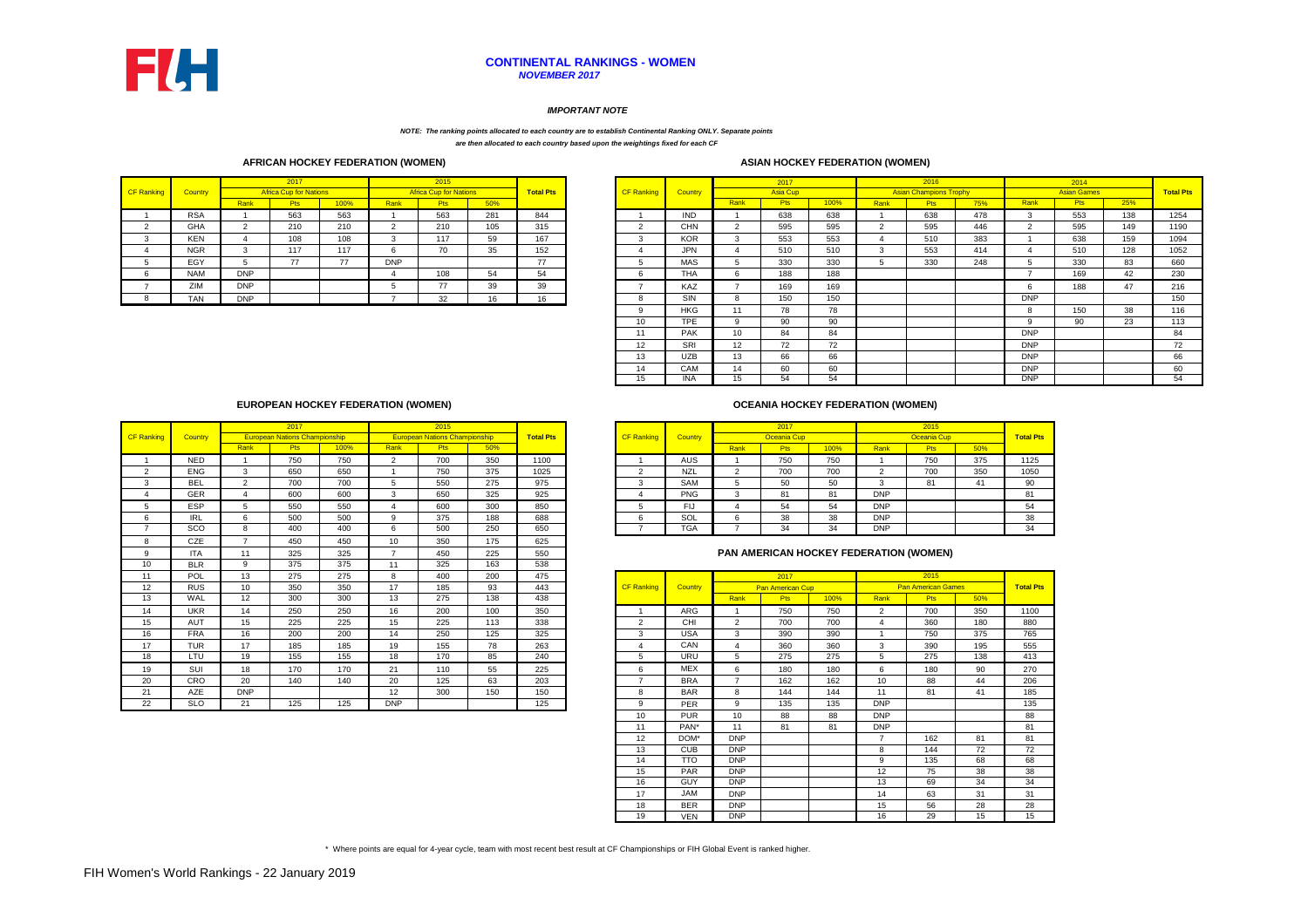|            |            |            | 2017                          |      |            | 2015                          |     |                  |            |            |      | 2017            |         |      | 2016                          |     |            | 2014               |     |                |
|------------|------------|------------|-------------------------------|------|------------|-------------------------------|-----|------------------|------------|------------|------|-----------------|---------|------|-------------------------------|-----|------------|--------------------|-----|----------------|
| CF Ranking | Country    |            | <b>Africa Cup for Nations</b> |      |            | <b>Africa Cup for Nations</b> |     | <b>Total Pts</b> | CF Ranking | Country    |      | <b>Asia Cup</b> |         |      | <b>Asian Champions Trophy</b> |     |            | <b>Asian Games</b> |     | <b>Total P</b> |
|            |            | Rank       | P <sub>ts</sub>               | 100% | Rank       | <b>Pts</b>                    | 50% |                  |            |            | Rank |                 | $100\%$ | Rank | ະເວ.                          | 75% | Rank       | <b>Pts</b>         | 25% |                |
|            | <b>RSA</b> |            | 563                           | 563  |            | 563                           | 281 | 844              |            | <b>IND</b> |      | 638             | 638     |      | 638                           | 478 |            | 553                | 138 | 1254           |
|            | GHA        |            | 210                           | 210  |            | 210                           | 105 | 315              |            | <b>CHN</b> |      | 595             | 595     |      | 595                           | 446 |            | 595                | 149 | <b>1190</b>    |
|            | <b>KEN</b> |            | 108                           | 108  |            | 117                           | 59  | 167              |            | <b>KOR</b> |      | 553             | 553     |      | 510                           | 383 |            | 638                | 159 | 1094           |
|            | <b>NGR</b> |            | 117                           | 117  |            | 70                            | 35  | 152              |            | <b>JPN</b> |      | 510             | 510     |      | 553                           | 414 |            | 510                | 128 | 1052           |
|            | EGY        |            | 77                            | 77   | <b>DNP</b> |                               |     | $\rightarrow$    |            | <b>MAS</b> |      | 330             | 330     |      | 330                           | 248 |            | 330                | 83  | 660            |
|            | <b>NAM</b> | <b>DNP</b> |                               |      |            | 108                           | ~   | 54               |            | <b>THA</b> |      | 188             | 188     |      |                               |     |            | 169                |     | 230            |
|            | ZIM        | <b>DNP</b> |                               |      |            | 77                            | 39  | 39               |            | KAZ        |      | 169             | 169     |      |                               |     |            | 188                |     | 216            |
|            | <b>TAN</b> | <b>DNP</b> |                               |      |            | າາ                            | 10  | 16               |            | SIN        |      | 150             | 150     |      |                               |     | <b>DNP</b> |                    |     | 150            |

|      | 2017                                 |     |      | 2015                                 |     |                  |                   |                |      | 2017            |         |            | 2015        |     |                  |
|------|--------------------------------------|-----|------|--------------------------------------|-----|------------------|-------------------|----------------|------|-----------------|---------|------------|-------------|-----|------------------|
|      | <b>European Nations Championship</b> |     |      | <b>European Nations Championship</b> |     | <b>Total Pts</b> | <b>CF Ranking</b> | <b>Country</b> |      | Oceania Cup     |         |            | Oceania Cup |     | <b>Total Pts</b> |
| रank | ⊏ເວ                                  | 00% | Rank | Pts                                  | 50% |                  |                   |                | Rank | P <sub>ts</sub> | $100\%$ | Rank       | Pts/        | 50% |                  |
|      | 750                                  | 750 |      | 700                                  | 350 | 1100             |                   | AUS            |      | 750             | 750     |            | 750         | 375 | 1125             |
| ა    | 650                                  | 650 |      | 750                                  | 375 | 1025             |                   | <b>NZL</b>     |      | 700             | 700     |            | 700         | 350 | 1050             |
|      | 700                                  | 700 |      | 550                                  | 275 | 975              |                   | <b>SAM</b>     |      | 50              | 50      |            | 81          | 4   | 90               |
|      | 600                                  | 600 |      | 650                                  | 325 | 925              |                   | <b>PNG</b>     |      | 81              | 81      | <b>DNP</b> |             |     | 81               |
| ່ວ   | 550                                  | 550 |      | 600                                  | 300 | 850              |                   | Flo            |      | 54              | 54      | <b>DNP</b> |             |     | 54               |
| 6    | 500                                  | 500 |      | 375                                  | 188 | 688              |                   | SOL            |      | 38              | 38      | <b>DNP</b> |             |     | 38               |
| 8    | 400                                  | 400 |      | 500                                  | 250 | 650              |                   | <b>TGA</b>     |      | 34              | 34      | <b>DNP</b> |             |     | 34               |

|                       |            |                | 2017                                 |      |                | 2015                                 |     |                  |                   |                |                          | 2017                    |      |                 | 2015                                   |     |                |
|-----------------------|------------|----------------|--------------------------------------|------|----------------|--------------------------------------|-----|------------------|-------------------|----------------|--------------------------|-------------------------|------|-----------------|----------------------------------------|-----|----------------|
| <b>CF Ranking</b>     | Country    |                | <b>European Nations Championship</b> |      |                | <b>European Nations Championship</b> |     | <b>Total Pts</b> | <b>CF Ranking</b> | <b>Country</b> |                          | <b>Oceania Cup</b>      |      |                 | Oceania Cup                            |     | <b>Total P</b> |
|                       |            | Rank           | <b>Pts</b>                           | 100% | Rank           | <b>Pts</b>                           | 50% |                  |                   |                | Rank                     | <b>Pts</b>              | 100% | Rank            | <b>Pts</b>                             | 50% |                |
|                       | <b>NED</b> |                | 750                                  | 750  | 2              | 700                                  | 350 | 1100             |                   | <b>AUS</b>     |                          | 750                     | 750  |                 | 750                                    | 375 | 1125           |
| 2                     | <b>ENG</b> | 3              | 650                                  | 650  |                | 750                                  | 375 | 1025             | $\overline{2}$    | <b>NZL</b>     | 2                        | 700                     | 700  | $\overline{2}$  | 700                                    | 350 | 1050           |
| 3                     | <b>BEL</b> | $\overline{2}$ | 700                                  | 700  | 5              | 550                                  | 275 | 975              | 3                 | <b>SAM</b>     | 5                        | 50                      | 50   | 3               | 81                                     | 41  |                |
| $\boldsymbol{\Delta}$ | <b>GER</b> | 4              | 600                                  | 600  | 3              | 650                                  | 325 | 925              |                   | <b>PNG</b>     | 3                        | 81                      | 81   | <b>DNP</b>      |                                        |     |                |
| 5                     | <b>ESP</b> | 5              | 550                                  | 550  | $\overline{4}$ | 600                                  | 300 | 850              | 5                 | <b>FIJ</b>     | $\overline{4}$           | 54                      | 54   | <b>DNP</b>      |                                        |     |                |
| 6                     | <b>IRL</b> | 6              | 500                                  | 500  | 9              | 375                                  | 188 | 688              | 6                 | SOL            | 6                        | 38                      | 38   | <b>DNP</b>      |                                        |     |                |
| 7                     | SCO        | 8              | 400                                  | 400  | 6              | 500                                  | 250 | 650              |                   | <b>TGA</b>     | $\overline{7}$           | 34                      | 34   | DNP             |                                        |     |                |
| 8                     | CZE        | $\overline{7}$ | 450                                  | 450  | 10             | 350                                  | 175 | 625              |                   |                |                          |                         |      |                 |                                        |     |                |
| 9                     | <b>ITA</b> | 11             | 325                                  | 325  | $\overline{7}$ | 450                                  | 225 | 550              |                   |                |                          |                         |      |                 | PAN AMERICAN HOCKEY FEDERATION (WOMEN) |     |                |
| 10                    | <b>BLR</b> | 9              | 375                                  | 375  | 11             | 325                                  | 163 | 538              |                   |                |                          |                         |      |                 |                                        |     |                |
| 11                    | POL        | 13             | 275                                  | 275  | 8              | 400                                  | 200 | 475              |                   |                |                          | 2017                    |      |                 | 2015                                   |     |                |
| 12                    | <b>RUS</b> | 10             | 350                                  | 350  | 17             | 185                                  | 93  | 443              | <b>CF Ranking</b> | <b>Country</b> |                          | <b>Pan American Cup</b> |      |                 | <b>Pan American Games</b>              |     | <b>Total P</b> |
| 13                    | WAL        | 12             | 300                                  | 300  | 13             | 275                                  | 138 | 438              |                   |                | Rank                     | <b>Pts</b>              | 100% | Rank            | <b>Pts</b>                             | 50% |                |
| 14                    | <b>UKR</b> | 14             | 250                                  | 250  | 16             | 200                                  | 100 | 350              |                   | <b>ARG</b>     |                          | 750                     | 750  | $\overline{2}$  | 700                                    | 350 | 1100           |
| 15                    | <b>AUT</b> | 15             | 225                                  | 225  | 15             | 225                                  | 113 | 338              | $\overline{2}$    | <b>CHI</b>     | 2                        | 700                     | 700  |                 | 360                                    | 180 |                |
| 16                    | <b>FRA</b> | 16             | 200                                  | 200  | 14             | 250                                  | 125 | 325              | 3                 | <b>USA</b>     | 3                        | 390                     | 390  |                 | 750                                    | 375 |                |
| 17                    | <b>TUR</b> | 17             | 185                                  | 185  | 19             | 155                                  | 78  | 263              |                   | CAN            | 4                        | 360                     | 360  | 3               | 390                                    | 195 |                |
| 18                    | LTU        | 19             | 155                                  | 155  | 18             | 170                                  | 85  | 240              | 5                 | <b>URU</b>     | 5                        | 275                     | 275  | 5               | 275                                    | 138 |                |
| 19                    | SUI        | 18             | 170                                  | 170  | 21             | 110                                  | 55  | 225              | 6                 | <b>MEX</b>     | 6                        | 180                     | 180  | 6               | 180                                    | 90  |                |
| 20                    | <b>CRO</b> | 20             | 140                                  | 140  | 20             | 125                                  | 63  | 203              | -                 | <b>BRA</b>     | $\overline{\phantom{a}}$ | 162                     | 162  | 10 <sup>°</sup> | 88                                     | 44  |                |
| 21                    | <b>AZE</b> | <b>DNP</b>     |                                      |      | 12             | 300                                  | 150 | 150              | 8                 | <b>BAR</b>     | 8                        | 144                     | 144  | 11              | 81                                     | 41  |                |
| 22                    | <b>SLO</b> | 21             | 125                                  | 125  | <b>DNP</b>     |                                      |     | 125              | 9                 | <b>PER</b>     | 9                        | 135                     | 135  | <b>DNP</b>      |                                        |     |                |

|                |                |                | 2017            |      |                | 2016                          |     |            | 2014               |     |                  |
|----------------|----------------|----------------|-----------------|------|----------------|-------------------------------|-----|------------|--------------------|-----|------------------|
| <b>anking</b>  | <b>Country</b> |                | <b>Asia Cup</b> |      |                | <b>Asian Champions Trophy</b> |     |            | <b>Asian Games</b> |     | <b>Total Pts</b> |
|                |                | Rank           | <b>Pts</b>      | 100% | Rank           | <b>Pts</b>                    | 75% | Rank       | <b>Pts</b>         | 25% |                  |
|                | <b>IND</b>     |                | 638             | 638  | 1              | 638                           | 478 | 3          | 553                | 138 | 1254             |
| 2              | <b>CHN</b>     | 2              | 595             | 595  | $\overline{2}$ | 595                           | 446 | 2          | 595                | 149 | 1190             |
| 3              | <b>KOR</b>     | 3              | 553             | 553  | 4              | 510                           | 383 |            | 638                | 159 | 1094             |
| 4              | <b>JPN</b>     | 4              | 510             | 510  | 3              | 553                           | 414 | 4          | 510                | 128 | 1052             |
| 5              | <b>MAS</b>     | 5              | 330             | 330  | 5              | 330                           | 248 | 5          | 330                | 83  | 660              |
| 6              | <b>THA</b>     | 6              | 188             | 188  |                |                               |     | 7          | 169                | 42  | 230              |
| $\overline{7}$ | KAZ            | $\overline{7}$ | 169             | 169  |                |                               |     | 6          | 188                | 47  | 216              |
| 8              | <b>SIN</b>     | 8              | 150             | 150  |                |                               |     | <b>DNP</b> |                    |     | 150              |
| 9              | <b>HKG</b>     | 11             | 78              | 78   |                |                               |     | 8          | 150                | 38  | 116              |
| 10             | <b>TPE</b>     | 9              | 90              | 90   |                |                               |     | 9          | 90                 | 23  | 113              |
| 11             | <b>PAK</b>     | 10             | 84              | 84   |                |                               |     | <b>DNP</b> |                    |     | 84               |
| 12             | <b>SRI</b>     | 12             | 72              | 72   |                |                               |     | <b>DNP</b> |                    |     | 72               |
| 13             | <b>UZB</b>     | 13             | 66              | 66   |                |                               |     | <b>DNP</b> |                    |     | 66               |
| 14             | CAM            | 14             | 60              | 60   |                |                               |     | <b>DNP</b> |                    |     | 60               |
| 15             | <b>INA</b>     | 15             | 54              | 54   |                |                               |     | <b>DNP</b> |                    |     | 54               |

| 11 | POL        | 13         | 275 | 275 | 8          | 400 | 200 | 475 |                          |            |                      | 2017                    |      |                   | 2015                      |                 |                  |
|----|------------|------------|-----|-----|------------|-----|-----|-----|--------------------------|------------|----------------------|-------------------------|------|-------------------|---------------------------|-----------------|------------------|
| 12 | <b>RUS</b> | 10         | 350 | 350 | 17         | 185 | 93  | 443 | <b>CF Ranking</b>        | Country    |                      | <b>Pan American Cup</b> |      |                   | <b>Pan American Games</b> |                 | <b>Total Pts</b> |
| 13 | WAL        | 12         | 300 | 300 | 13         | 275 | 138 | 438 |                          |            | Rank                 | <b>Pts</b>              | 100% | Rank              | <b>Pts</b>                | 50%             |                  |
| 14 | <b>UKR</b> | 14         | 250 | 250 | 16         | 200 | 100 | 350 |                          | ARG        |                      | 750                     | 750  | 2                 | 700                       | 350             | 1100             |
| 15 | <b>AUT</b> | 15         | 225 | 225 | 15         | 225 | 113 | 338 | 2                        | <b>CHI</b> | $\mathbf{2}^{\circ}$ | 700                     | 700  |                   | 360                       | 180             | 880              |
| 16 | <b>FRA</b> | 16         | 200 | 200 | 14         | 250 | 125 | 325 | 3                        | <b>USA</b> | 3                    | 390                     | 390  |                   | 750                       | 375             | 765              |
| 17 | <b>TUR</b> | 17         | 185 | 185 | 19         | 155 | 78  | 263 | 4                        | CAN        | 4                    | 360                     | 360  | 3                 | 390                       | 195             | 555              |
| 18 | LTU        | 19         | 155 | 155 | 18         | 170 | 85  | 240 | 5                        | <b>URU</b> | 5                    | 275                     | 275  | 5                 | 275                       | 138             | 413              |
| 19 | SUI        | 18         | 170 | 170 | 21         | 110 | 55  | 225 | 6                        | <b>MEX</b> | 6                    | 180                     | 180  | 6                 | 180                       | 90              | 270              |
| 20 | <b>CRO</b> | 20         | 140 | 140 | 20         | 125 | 63  | 203 | $\overline{\phantom{a}}$ | <b>BRA</b> | $\overline{ }$       | 162                     | 162  | 10                | 88                        | 44              | 206              |
| 21 | <b>AZE</b> | <b>DNP</b> |     |     | 12         | 300 | 150 | 150 | 8                        | <b>BAR</b> | 8                    | 144                     | 144  | 11                | 81                        | 41              | 185              |
| 22 | <b>SLO</b> | 21         | 125 | 125 | <b>DNP</b> |     |     | 125 | 9                        | <b>PER</b> | 9                    | 135                     | 135  | <b>DNP</b>        |                           |                 | 135              |
|    |            |            |     |     |            |     |     |     | 10                       | <b>PUR</b> | 10                   | 88                      | 88   | <b>DNP</b>        |                           |                 | 88               |
|    |            |            |     |     |            |     |     |     | 11                       | PAN*       | 11                   | 81                      | 81   | <b>DNP</b>        |                           |                 | 81               |
|    |            |            |     |     |            |     |     |     | 12                       | DOM*       | <b>DNP</b>           |                         |      | $\overline{7}$    | 162                       | 81              | 81               |
|    |            |            |     |     |            |     |     |     | 13                       | <b>CUB</b> | <b>DNP</b>           |                         |      | 8                 | 144                       | 72              | 72               |
|    |            |            |     |     |            |     |     |     | 14                       | <b>TTO</b> | <b>DNP</b>           |                         |      | 9                 | 135                       | 68              | 68               |
|    |            |            |     |     |            |     |     |     | 15                       | <b>PAR</b> | <b>DNP</b>           |                         |      | $12 \overline{ }$ | 75                        | 38              | 38               |
|    |            |            |     |     |            |     |     |     | 16                       | <b>GUY</b> | <b>DNP</b>           |                         |      | 13                | 69                        | 34              | 34               |
|    |            |            |     |     |            |     |     |     | 17                       | JAM        | <b>DNP</b>           |                         |      | 14                | 63                        | 31              | 31               |
|    |            |            |     |     |            |     |     |     | 18                       | <b>BER</b> | <b>DNP</b>           |                         |      | 15                | 56                        | 28              | 28               |
|    |            |            |     |     |            |     |     |     | 19                       | <b>VEN</b> | <b>DNP</b>           |                         |      | 16                | $\overline{29}$           | $\overline{15}$ | 15               |

\* Where points are equal for 4-year cycle, team with most recent best result at CF Championships or FIH Global Event is ranked higher.

## **PAN AMERICAN HOCKEY FEDERATION (WOMEN)**

## **EUROPEAN HOCKEY FEDERATION (WOMEN)**

## **OCEANIA HOCKEY FEDERATION (WOMEN)**

## *IMPORTANT NOTE*

## **CONTINENTAL RANKINGS - WOMEN** *NOVEMBER 2017*

*NOTE: The ranking points allocated to each country are to establish Continental Ranking ONLY. Separate points are then allocated to each country based upon the weightings fixed for each CF* 

## **AFRICAN HOCKEY FEDERATION (WOMEN) ASIAN HOCKEY FEDERATION (WOMEN)**

| <b>ASIAN HOCKEY FEDERATION ()</b> |  |
|-----------------------------------|--|
|-----------------------------------|--|